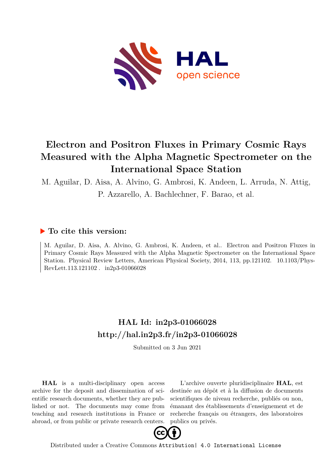

## **Electron and Positron Fluxes in Primary Cosmic Rays Measured with the Alpha Magnetic Spectrometer on the International Space Station**

M. Aguilar, D. Aisa, A. Alvino, G. Ambrosi, K. Andeen, L. Arruda, N. Attig,

P. Azzarello, A. Bachlechner, F. Barao, et al.

## **To cite this version:**

M. Aguilar, D. Aisa, A. Alvino, G. Ambrosi, K. Andeen, et al.. Electron and Positron Fluxes in Primary Cosmic Rays Measured with the Alpha Magnetic Spectrometer on the International Space Station. Physical Review Letters, American Physical Society, 2014, 113, pp.121102. 10.1103/Phys- $RevLet t.113.121102$ .  $in 2p3-01066028$ 

## **HAL Id: in2p3-01066028 <http://hal.in2p3.fr/in2p3-01066028>**

Submitted on 3 Jun 2021

**HAL** is a multi-disciplinary open access archive for the deposit and dissemination of scientific research documents, whether they are published or not. The documents may come from teaching and research institutions in France or abroad, or from public or private research centers.

L'archive ouverte pluridisciplinaire **HAL**, est destinée au dépôt et à la diffusion de documents scientifiques de niveau recherche, publiés ou non, émanant des établissements d'enseignement et de recherche français ou étrangers, des laboratoires publics ou privés.



Distributed under a Creative Commons [Attribution| 4.0 International License](http://creativecommons.org/licenses/by/4.0/)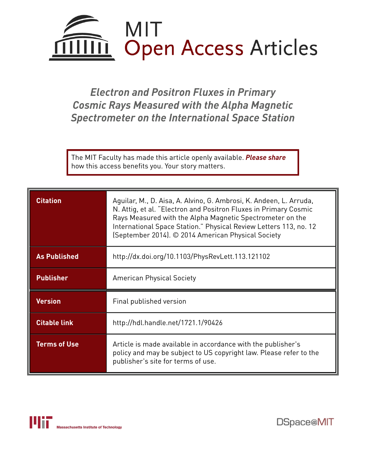

*Electron and Positron Fluxes in Primary Cosmic Rays Measured with the Alpha Magnetic Spectrometer on the International Space Station*

The MIT Faculty has made this article openly available. *[Please](https://libraries.mit.edu/forms/dspace-oa-articles.html) share* how this access benefits you. Your story matters.

| <b>Citation</b>     | Aguilar, M., D. Aisa, A. Alvino, G. Ambrosi, K. Andeen, L. Arruda,<br>N. Attig, et al. "Electron and Positron Fluxes in Primary Cosmic<br>Rays Measured with the Alpha Magnetic Spectrometer on the<br>International Space Station." Physical Review Letters 113, no. 12<br>(September 2014). © 2014 American Physical Society |  |  |
|---------------------|--------------------------------------------------------------------------------------------------------------------------------------------------------------------------------------------------------------------------------------------------------------------------------------------------------------------------------|--|--|
| <b>As Published</b> | http://dx.doi.org/10.1103/PhysRevLett.113.121102                                                                                                                                                                                                                                                                               |  |  |
| <b>Publisher</b>    | <b>American Physical Society</b>                                                                                                                                                                                                                                                                                               |  |  |
| <b>Version</b>      | Final published version                                                                                                                                                                                                                                                                                                        |  |  |
| <b>Citable link</b> | http://hdl.handle.net/1721.1/90426                                                                                                                                                                                                                                                                                             |  |  |
| <b>Terms of Use</b> | Article is made available in accordance with the publisher's<br>policy and may be subject to US copyright law. Please refer to the<br>publisher's site for terms of use.                                                                                                                                                       |  |  |

DSpace@MIT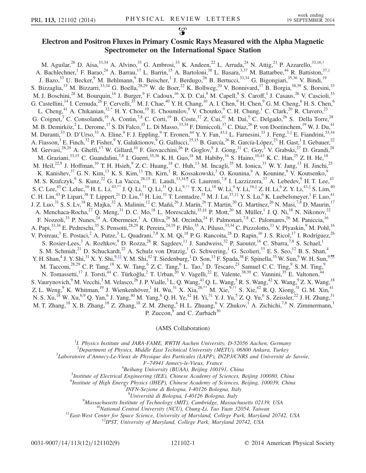## Electron and Positron Fluxes in Primary Cosmic Rays Measured with the Alpha Magnetic Spectrometer on the International Space Station

<span id="page-2-7"></span><span id="page-2-5"></span><span id="page-2-4"></span><span id="page-2-3"></span><span id="page-2-2"></span><span id="page-2-1"></span><span id="page-2-0"></span>M. Aguilar,  $^{26}$  D. Aisa,  $^{33,34}$  A. Alvino,  $^{33}$  G. Ambrosi,  $^{33}$  K. Andeen,  $^{22}$  L. Arruda,  $^{24}$  N. Attig,  $^{21}$  P. Azzarello,  $^{33,16,†}$  $^{33,16,†}$  $^{33,16,†}$ A. Bachlechner,<sup>1</sup> F. Barao,<sup>24</sup> A. Barrau,<sup>17</sup> L. Barrin,<sup>15</sup> A. Bartoloni,<sup>38</sup> L. Basara,<sup>3,37</sup> M. Battarbee,<sup>44</sup> R. Battiston,<sup>37,[‡](#page-9-1)</sup> J. Bazo,<sup>33</sup> U. Becker, <sup>9</sup> M. Behlmann, <sup>9</sup> B. Beischer, <sup>1</sup> J. Berdugo, <sup>26</sup> B. Bertucci, <sup>33, 34</sup> G. Bigongiari, <sup>35, 36</sup> V. Bindi, <sup>19</sup> S. Bizzaglia,<sup>33</sup> M. Bizzarri,<sup>33,34</sup> G. Boella,<sup>28,29</sup> W. de Boer,<sup>22</sup> K. Bollweg,<sup>20</sup> V. Bonnivard,<sup>17</sup> B. Borgia,<sup>38,39</sup> S. Borsini,<sup>33</sup> M. J. Boschini,<sup>28</sup> M. Bourquin,<sup>16</sup> J. Burger,<sup>9</sup> F. Cadoux,<sup>16</sup> X. D. Cai,<sup>9</sup> M. Capell,<sup>9</sup> S. Caroff,<sup>3</sup> J. Casaus,<sup>26</sup> V. Cascioli,<sup>33</sup> G. Castellini,<sup>14</sup> I. Cernuda,<sup>26</sup> F. Cervelli,<sup>35</sup> M. J. Chae,<sup>40</sup> Y. H. Chang,<sup>10</sup> A. I. Chen,<sup>9</sup> H. Chen,<sup>9</sup> G. M. Cheng,<sup>6</sup> H. S. Chen,<sup>6</sup> L. Cheng,<sup>41</sup> A. Chikanian,<sup>3[2,\\*](#page-9-2)</sup> H. Y. Chou,<sup>10</sup> E. Choumilov,<sup>9</sup> V. Choutko,<sup>9</sup> C. H. Chung,<sup>1</sup> C. Clark,<sup>20</sup> R. Clavero,<sup>23</sup> G. Coignet,<sup>3</sup> C. Consolandi,<sup>19</sup> A. Contin,<sup>7,8</sup> C. Corti,<sup>19</sup> B. Coste,<sup>37</sup> Z. Cui,<sup>41</sup> M. Dai,<sup>5</sup> C. Delgado,<sup>26</sup> S. Della Torre,<sup>28</sup> M. B. Demirköz,<sup>2</sup> L. Derome,<sup>17</sup> S. Di Falco,<sup>35</sup> L. Di Masso,<sup>33,34</sup> F. Dimiccoli,<sup>37</sup> C. Díaz,<sup>26</sup> P. von Doetinchem,<sup>19</sup> W. J. Du,<sup>41</sup> M. Duranti,<sup>33</sup> D. D'Urso,<sup>33</sup> A. Eline,<sup>9</sup> F. J. Eppling,<sup>9</sup> T. Eronen,<sup>44</sup> Y. Y. Fan,<sup>4[3,§](#page-9-3)</sup> L. Farnesini,<sup>33</sup> J. Feng,<sup>3,||</sup> E. Fiandrini,<sup>33,34</sup> A. Fiasson,<sup>3</sup> E. Finch,<sup>32</sup> P. Fisher,<sup>9</sup> Y. Galaktionov,<sup>9</sup> G. Gallucci,<sup>35,15</sup> B. García,<sup>26</sup> R. García-López,<sup>23</sup> H. Gast,<sup>1</sup> I. Gebauer,<sup>22</sup> M. Gervasi,<sup>28,29</sup> A. Ghelfi,<sup>17</sup> W. Gillard,<sup>10</sup> F. Giovacchini,<sup>26</sup> P. Goglov,<sup>9</sup> J. Gong,<sup>31</sup> C. Goy,<sup>3</sup> V. Grabski,<sup>27</sup> D. Grandi,<sup>28</sup> M. Graziani,<sup>33,15</sup> C. Guandalini,<sup>7,8</sup> I. Guerri,<sup>35,36</sup> K. H. Guo,<sup>18</sup> M. Habiby,<sup>16</sup> S. Haino,<sup>10,43</sup> K. C. Han,<sup>25</sup> Z. H. He,<sup>18</sup> M. Heil,<sup>22,9</sup> J. Hoffman,<sup>10</sup> T. H. Hsieh,<sup>9</sup> Z. C. Huang,<sup>18</sup> C. Huh,<sup>13</sup> M. Incagli,<sup>35</sup> M. Ionica,<sup>33</sup> W. Y. Jang,<sup>13</sup> H. Jinchi,<sup>25</sup> K. Kanishev,<sup>37</sup> G. N. Kim,<sup>13</sup> K. S. Kim,<sup>13</sup> Th. Kirn,<sup>1</sup> R. Kossakowski,<sup>3</sup> O. Kounina,<sup>9</sup> A. Kounine,<sup>9</sup> V. Koutsenko,<sup>9</sup> M. S. Krafczyk, <sup>9</sup> S. Kunz, <sup>22</sup> G. La Vacca, <sup>28,15</sup> E. Laudi, <sup>33,3[4,¶](#page-9-5)</sup> G. Laurenti, <sup>7,8</sup> I. Lazzizzera, <sup>37</sup> A. Lebedev, <sup>9</sup> H. T. Lee, <sup>43</sup> S. C. Lee, $^{43}$  C. Leluc, $^{16}$  H. L. Li, $^{43,**}$  $^{43,**}$  $^{43,**}$  J. Q. Li, $^{31}$  Q. Li, $^{31}$  Q. Li, $^{9,\dagger\dagger}$  T. X. Li, $^{18}$  W. Li, $^{4}$  Y. Li, $^{16,\parallel}$  Z. H. Li, $^{6}$  Z. Y. Li, $^{43,\parallel}$  S. Lim, $^{40}$ C. H. Lin,<sup>43</sup> P. Lipari,<sup>38</sup> T. Lippert,<sup>21</sup> D. Liu,<sup>43</sup> H. Liu,<sup>31</sup> T. Lomtadze,<sup>35</sup> M. J. Lu,<sup>37,[‡‡](#page-9-8)</sup> Y. S. Lu,<sup>6</sup> K. Luebelsmeyer,<sup>1</sup> F. Luo,<sup>41</sup> J. Z. Luo, $^{31}$  S. S. Lv, $^{18}$  R. Majka, $^{32}$  A. Malinin, $^{12}$  C. Mañá, $^{26}$  J. Marín, $^{26}$  T. Martin, $^{20}$  G. Martínez, $^{26}$  N. Masi, $^{7,8}$  D. Maurin, $^{17}$ A. Menchaca-Rocha,<sup>27</sup> Q. Meng,<sup>31</sup> D. C. Mo,<sup>18</sup> L. Morescalchi,<sup>3[5,§§](#page-9-9)</sup> P. Mott,<sup>20</sup> M. Müller,<sup>1</sup> J. Q. Ni,<sup>18</sup> N. Nikonov,<sup>22</sup> F. Nozzoli,<sup>33</sup> P. Nunes,<sup>24</sup> A. Obermeier,<sup>1</sup> A. Oliva,<sup>26</sup> M. Orcinha,<sup>24</sup> F. Palmonari,<sup>7,8</sup> C. Palomares,<sup>26</sup> M. Paniccia,<sup>16</sup> A. Papi,<sup>33,34</sup> E. Pedreschi,<sup>35</sup> S. Pensotti,<sup>28,29</sup> R. Pereira,<sup>24,19</sup> F. Pilo,<sup>35</sup> A. Piluso,<sup>33,34</sup> C. Pizzolotto,<sup>33</sup> V. Plyaskin,<sup>9</sup> M. Pohl,<sup>16</sup> V. Poireau,<sup>3</sup> E. Postaci,<sup>2</sup> A. Putze,<sup>3</sup> L. Quadrani,<sup>7,8</sup> X. M. Qi,<sup>18</sup> P. G. Rancoita,<sup>28</sup> D. Rapin,<sup>16</sup> J. S. Ricol,<sup>17</sup> I. Rodríguez,<sup>26</sup> S. Rosier-Lees,<sup>3</sup> A. Rozhkov,<sup>9</sup> D. Rozza,<sup>28</sup> R. Sagdeev,<sup>11</sup> J. Sandweiss,<sup>32</sup> P. Saouter,<sup>16</sup> C. Sbarra,<sup>7,8</sup> S. Schael,<sup>1</sup> S. M. Schmidt,  $^{21}$  D. Schuckardt,  $^{22}$  A. Schulz von Dratzig,  $^{1}$  G. Schwering,  $^{1}$  G. Scolieri,  $^{33}$  E. S. Seo,  $^{12}$  B. S. Shan,  $^{4}$ Y. H. Shan,<sup>4</sup> J. Y. Shi,<sup>31</sup> X. Y. Shi,<sup>9,||||</sup> Y. M. Shi,<sup>42</sup> T. Siedenburg,<sup>1</sup> D. Son,<sup>13</sup> F. Spada,<sup>38</sup> F. Spinella,<sup>35</sup> W. Sun,<sup>9</sup> W. H. Sun,<sup>9[,¶¶](#page-9-11)</sup> M. Tacconi,<sup>28,29</sup> C. P. Tang,<sup>18</sup> X. W. Tang,<sup>6</sup> Z. C. Tang,<sup>6</sup> L. Tao,<sup>3</sup> D. Tescaro,<sup>23</sup> Samuel C. C. Ting,<sup>9</sup> S. M. Ting,<sup>9</sup> N. Tomassetti,<sup>17</sup> J. Torsti,<sup>44</sup> C. Türkoğlu,<sup>2</sup> T. Urban,<sup>20</sup> V. Vagelli,<sup>22</sup> E. Valente,<sup>38,39</sup> C. Vannini,<sup>35</sup> E. Valtonen,<sup>44</sup> S. Vaurynovich, <sup>9</sup> M. Vecchi, <sup>3</sup> M. Velasco, <sup>26</sup> J. P. Vialle, <sup>3</sup> L. Q. Wang, <sup>41</sup> Q. L. Wang, <sup>5</sup> R. S. Wang, <sup>42</sup> X. Wang, <sup>9</sup> Z. X. Wang, <sup>18</sup> Z. L. Weng,  $9K$ . Whitman,  $19J$ . Wienkenhöver,  $1H$ . Wu,  $31X$ . Xia,  $26$ ,  $**$  M. Xie,  $9, †$ † S. Xie,  $42R$ . Q. Xiong,  $31G$ . M. Xin,  $41$ N. S. Xu,<sup>18</sup> W. Xu,<sup>6,9</sup> Q. Yan,<sup>6</sup> J. Yang,<sup>40</sup> M. Yang,<sup>6</sup> Q. H. Ye,<sup>42</sup> H. Yi,<sup>31</sup> Y. J. Yu,<sup>5</sup> Z. Q. Yu,<sup>6</sup> S. Zeissler,<sup>22</sup> J. H. Zhang,<sup>31</sup> M. T. Zhang,<sup>18</sup> X. B. Zhang,<sup>18</sup> Z. Zhang,<sup>18</sup> Z. M. Zheng,<sup>4</sup> H. L. Zhuang,<sup>6</sup> V. Zhukov,<sup>1</sup> A. Zichichi,<sup>7,8</sup> N. Zimmermann,<sup>1</sup> P. Zuccon, $9 \text{ and } C$ . Zurbach $30$ 

(AMS Collaboration)

<span id="page-2-8"></span><sup>1</sup>I. Physics Institute and JARA-FAME, RWTH Aachen University, D-52056 Aachen, Germany

<span id="page-2-9"></span><span id="page-2-6"></span><sup>2</sup>Department of Physics, Middle East Technical University (METU), 06800 Ankara, Turkey<sup>3</sup>I aboratoire d'Anneov Le View de Physicus des Particules (LAPP), DI2P3/CNPS and Université d

 ${}^{3}$ Laboratoire d'Annecy-Le-Vieux de Physique des Particules (LAPP), IN2P3/CNRS and Université de Savoie,

<sup>F</sup>–74941 Annecy-le-Vieux, France <sup>4</sup>

 ${}^{4}$ Beihang University (BUAA), Beijing 100191, China

<sup>5</sup>Institute of Electrical Engineering (IEE), Chinese Academy of Sciences, Beijing 100080, China

<sup>6</sup>Institute of High Energy Physics (IHEP), Chinese Academy of Sciences, Beijing, 100039, China<br><sup>7</sup>INEN Serious di Belagua, L40126 Belagua, Italy

INFN-Sezione di Bologna, I-40126 Bologna, Italy

<sup>8</sup>Università di Bologna, I-40126 Bologna, Italy<br><sup>9</sup>Massachusetts Institute of Technology (MIT), Cambridge, Massac

<sup>9</sup>Massachusetts Institute of Technology (MIT), Cambridge, Massachusetts 02139, USA<br><sup>10</sup>National Central University (NCU), Chung-Li, Tao Yuan 32054, Taiwan<br><sup>11</sup>East-West Center for Space Science, University of Maryland, C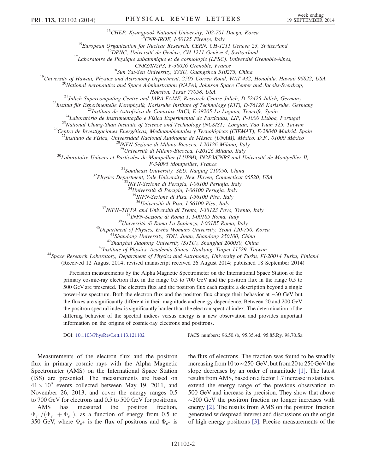<sup>13</sup>CHEP, Kyungpook National University, 702-701 Daegu, Korea<br><sup>14</sup>CNR-IROE, I-50125 Firenze, Italy<br><sup>15</sup>European Organization for Nuclear Research, CERN, CH-1211 Geneva 23, Switzerland<br><sup>16</sup>DPNC, Université de Genève, CH-12

CNRS/IN2P3, F-38026 Grenoble, France<br><sup>18</sup>Sun Yat-Sen University, SYSU, Guangzhou 510275, China<br><sup>19</sup>University of Hawaii, Physics and Astronomy Department, 2505 Correa Road, WAT 432, Honolulu, Hawaii 96822, USA<br><sup>19</sup>National

Houston, Texas 77058, USA<br>
<sup>21</sup>Jülich Supercomputing Centre and JARA-FAME, Research Centre Jülich, D-52425 Jülich, Germany<br>
<sup>22</sup>Institut für Experimentelle Kernphysik, Karlsruhe Institute of Technology (KIT), D-76128 Karl

 $^{30}$ Laboratoire Univers et Particules de Montpellier (LUPM), IN2P3/CNRS and Université de Montpellier II,

F-34095 Montpellier, France<br><sup>31</sup>Southeast University, SEU, Nanjing 210096, China<br><sup>32</sup>Physics Department, Yale University, New Haven, Connecticut 06520, USA<br><sup>33</sup>INFN-Sezione di Perugia, I-06100 Perugia, Italy

<sup>34</sup>Università di Perugia, I-06100 Perugia, Italy

 $^{35}$ INFN-Sezione di Pisa, I-56100 Pisa, Italy<br> $^{36}$ Università di Pisa, I-56100 Pisa, Italy

<sup>37</sup>INFN-TIFPA and Università di Trento, I-38123 Povo, Trento, Italy<br><sup>38</sup>INFN-Sezione di Roma 1, I-00185 Roma, Italy<br><sup>39</sup>Università di Roma La Sapienza, I-00185 Roma, Italy<br><sup>40</sup>Department of Physics, Ewha Womans Universit (Received 12 August 2014; revised manuscript received 26 August 2014; published 18 September 2014)

Precision measurements by the Alpha Magnetic Spectrometer on the International Space Station of the primary cosmic-ray electron flux in the range 0.5 to 700 GeV and the positron flux in the range 0.5 to 500 GeV are presented. The electron flux and the positron flux each require a description beyond a single power-law spectrum. Both the electron flux and the positron flux change their behavior at ∼30 GeV but the fluxes are significantly different in their magnitude and energy dependence. Between 20 and 200 GeV the positron spectral index is significantly harder than the electron spectral index. The determination of the differing behavior of the spectral indices versus energy is a new observation and provides important information on the origins of cosmic-ray electrons and positrons.

DOI: [10.1103/PhysRevLett.113.121102](http://dx.doi.org/10.1103/PhysRevLett.113.121102) PACS numbers: 96.50.sb, 95.35.+d, 95.85.Ry, 98.70.Sa

Measurements of the electron flux and the positron flux in primary cosmic rays with the Alpha Magnetic Spectrometer (AMS) on the International Space Station (ISS) are presented. The measurements are based on  $41 \times 10^9$  events collected between May 19, 2011, and November 26, 2013, and cover the energy ranges 0.5 to 700 GeV for electrons and 0.5 to 500 GeV for positrons.

AMS has measured the positron fraction,  $\Phi_{e^+}/(\Phi_{e^+} + \Phi_{e^-})$ , as a function of energy from 0.5 to 350 GeV, where  $\Phi_{e^+}$  is the flux of positrons and  $\Phi_{e^-}$  is the flux of electrons. The fraction was found to be steadily increasing from 10 to∼250 GeV, but from 20 to 250 GeV the slope decreases by an order of magnitude [\[1\]](#page-9-12). The latest results from AMS, based on a factor 1.7 increase in statistics, extend the energy range of the previous observation to 500 GeV and increase its precision. They show that above ∼200 GeV the positron fraction no longer increases with energy [\[2\]](#page-9-13). The results from AMS on the positron fraction generated widespread interest and discussions on the origin of high-energy positrons [\[3\].](#page-9-14) Precise measurements of the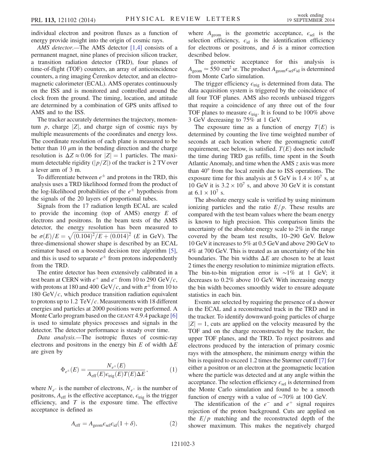individual electron and positron fluxes as a function of energy provide insight into the origin of cosmic rays.

AMS detector.—The AMS detector [\[1,4\]](#page-9-12) consists of a permanent magnet, nine planes of precision silicon tracker, a transition radiation detector (TRD), four planes of time-of-flight (TOF) counters, an array of anticoincidence counters, a ring imaging Čerenkov detector, and an electromagnetic calorimeter (ECAL). AMS operates continuously on the ISS and is monitored and controlled around the clock from the ground. The timing, location, and attitude are determined by a combination of GPS units affixed to AMS and to the ISS.

The tracker accurately determines the trajectory, momentum  $p$ , charge  $|Z|$ , and charge sign of cosmic rays by multiple measurements of the coordinates and energy loss. The coordinate resolution of each plane is measured to be better than 10  $\mu$ m in the bending direction and the charge resolution is  $\Delta Z \approx 0.06$  for  $|Z| = 1$  particles. The maximum detectable rigidity ( $|p/Z|$ ) of the tracker is 2 TV over a lever arm of 3 m.

To differentiate between  $e^{\pm}$  and protons in the TRD, this analysis uses a TRD likelihood formed from the product of the log-likelihood probabilities of the  $e^{\pm}$  hypothesis from the signals of the 20 layers of proportional tubes.

Signals from the 17 radiation length ECAL are scaled to provide the incoming (top of AMS) energy  $E$  of electrons and positrons. In the beam tests of the AMS detector, the energy resolution has been measured to detector, the energy resolution has been measured to<br>be  $\sigma(E)/E = \sqrt{(0.104)^2/E + (0.014)^2}$  (*E* in GeV). The three-dimensional shower shape is described by an ECAL estimator based on a boosted decision tree algorithm [\[5\]](#page-9-15), and this is used to separate  $e^{\pm}$  from protons independently from the TRD.

The entire detector has been extensively calibrated in a test beam at CERN with  $e^+$  and  $e^-$  from 10 to 290 GeV/c, with protons at 180 and 400 GeV/c, and with  $\pi^{\pm}$  from 10 to 180 GeV/ $c$ , which produce transition radiation equivalent to protons up to 1.2 TeV/c. Measurements with 18 different energies and particles at 2000 positions were performed. A Monte Carlo program based on the GEANT 4.9.4 package [\[6\]](#page-9-16) is used to simulate physics processes and signals in the detector. The detector performance is steady over time.

<span id="page-4-0"></span>Data analysis.—The isotropic fluxes of cosmic-ray electrons and positrons in the energy bin E of width  $\Delta E$ are given by

$$
\Phi_{e^{\pm}}(E) = \frac{N_{e^{\pm}}(E)}{A_{\rm eff}(E)\epsilon_{\rm trig}(E)T(E)\Delta E}, \eqno(1)
$$

where  $N_{e^-}$  is the number of electrons,  $N_{e^+}$  is the number of positrons,  $A_{\text{eff}}$  is the effective acceptance,  $\epsilon_{\text{trig}}$  is the trigger efficiency, and  $T$  is the exposure time. The effective acceptance is defined as

$$
A_{\rm eff} = A_{\rm geom} \epsilon_{\rm sel} \epsilon_{\rm id} (1 + \delta), \tag{2}
$$

where  $A_{\text{geom}}$  is the geometric acceptance,  $\epsilon_{\text{sel}}$  is the selection efficiency,  $\epsilon_{id}$  is the identification efficiency for electrons or positrons, and  $\delta$  is a minor correction described below.

The geometric acceptance for this analysis is  $A_{\text{geom}} \approx 550 \text{ cm}^2 \text{ sr}$ . The product  $A_{\text{geom}} \epsilon_{\text{sel}} \epsilon_{\text{id}}$  is determined from Monte Carlo simulation.

The trigger efficiency  $\epsilon_{\text{trig}}$  is determined from data. The data acquisition system is triggered by the coincidence of all four TOF planes. AMS also records unbiased triggers that require a coincidence of any three out of the four TOF planes to measure  $\epsilon_{\text{trig}}$ . It is found to be 100% above 3 GeV decreasing to 75% at 1 GeV.

The exposure time as a function of energy  $T(E)$  is determined by counting the live time weighted number of seconds at each location where the geomagnetic cutoff requirement, see below, is satisfied.  $T(E)$  does not include the time during TRD gas refills, time spent in the South Atlantic Anomaly, and time when the AMS  $z$  axis was more than 40° from the local zenith due to ISS operations. The exposure time for this analysis at 5 GeV is  $1.4 \times 10^7$  s, at 10 GeV it is  $3.2 \times 10^7$  s, and above 30 GeV it is constant at  $6.1 \times 10^{7}$  s.

The absolute energy scale is verified by using minimum ionizing particles and the ratio  $E/p$ . These results are compared with the test beam values where the beam energy is known to high precision. This comparison limits the uncertainty of the absolute energy scale to 2% in the range covered by the beam test results, 10–290 GeV. Below 10 GeV it increases to 5% at 0.5 GeVand above 290 GeV to 4% at 700 GeV. This is treated as an uncertainty of the bin boundaries. The bin widths  $\Delta E$  are chosen to be at least 2 times the energy resolution to minimize migration effects. The bin-to-bin migration error is ∼1% at 1 GeV; it decreases to 0.2% above 10 GeV. With increasing energy the bin width becomes smoothly wider to ensure adequate statistics in each bin.

Events are selected by requiring the presence of a shower in the ECAL and a reconstructed track in the TRD and in the tracker. To identify downward-going particles of charge  $|Z| = 1$ , cuts are applied on the velocity measured by the TOF and on the charge reconstructed by the tracker, the upper TOF planes, and the TRD. To reject positrons and electrons produced by the interaction of primary cosmic rays with the atmosphere, the minimum energy within the bin is required to exceed 1.2 times the Størmer cutoff [\[7\]](#page-9-17) for either a positron or an electron at the geomagnetic location where the particle was detected and at any angle within the acceptance. The selection efficiency  $\epsilon_{\rm sel}$  is determined from the Monte Carlo simulation and found to be a smooth function of energy with a value of ∼70% at 100 GeV.

The identification of the  $e^-$  and  $e^+$  signal requires rejection of the proton background. Cuts are applied on the  $E/p$  matching and the reconstructed depth of the shower maximum. This makes the negatively charged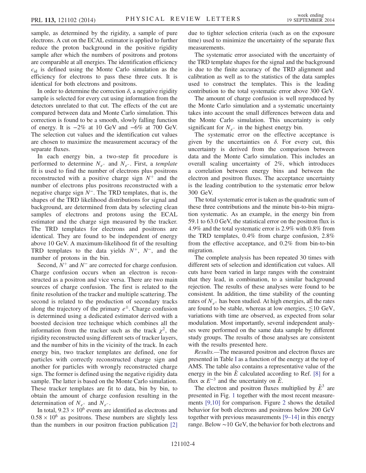sample, as determined by the rigidity, a sample of pure electrons. A cut on the ECAL estimator is applied to further reduce the proton background in the positive rigidity sample after which the numbers of positrons and protons are comparable at all energies. The identification efficiency  $\epsilon_{\rm id}$  is defined using the Monte Carlo simulation as the efficiency for electrons to pass these three cuts. It is identical for both electrons and positrons.

In order to determine the correction  $\delta$ , a negative rigidity sample is selected for every cut using information from the detectors unrelated to that cut. The effects of the cut are compared between data and Monte Carlo simulation. This correction is found to be a smooth, slowly falling function of energy. It is  $-2\%$  at 10 GeV and  $-6\%$  at 700 GeV. The selection cut values and the identification cut values are chosen to maximize the measurement accuracy of the separate fluxes.

In each energy bin, a two-step fit procedure is performed to determine  $N_{e^+}$  and  $N_{e^-}$ . First, a template fit is used to find the number of electrons plus positrons reconstructed with a positive charge sign  $N^+$  and the number of electrons plus positrons reconstructed with a negative charge sign N<sup>−</sup>. The TRD templates, that is, the shapes of the TRD likelihood distributions for signal and background, are determined from data by selecting clean samples of electrons and protons using the ECAL estimator and the charge sign measured by the tracker. The TRD templates for electrons and positrons are identical. They are found to be independent of energy above 10 GeV. A maximum-likelihood fit of the resulting TRD templates to the data yields  $N^+$ ,  $N^-$ , and the number of protons in the bin.

Second,  $N^+$  and  $N^-$  are corrected for charge confusion. Charge confusion occurs when an electron is reconstructed as a positron and vice versa. There are two main sources of charge confusion. The first is related to the finite resolution of the tracker and multiple scattering. The second is related to the production of secondary tracks along the trajectory of the primary  $e^{\pm}$ . Charge confusion is determined using a dedicated estimator derived with a boosted decision tree technique which combines all the information from the tracker such as the track  $\chi^2$ , the rigidity reconstructed using different sets of tracker layers, and the number of hits in the vicinity of the track. In each energy bin, two tracker templates are defined, one for particles with correctly reconstructed charge sign and another for particles with wrongly reconstructed charge sign. The former is defined using the negative rigidity data sample. The latter is based on the Monte Carlo simulation. These tracker templates are fit to data, bin by bin, to obtain the amount of charge confusion resulting in the determination of  $N_{e^+}$  and  $N_{e^-}$ .

In total,  $9.23 \times 10^6$  events are identified as electrons and  $0.58 \times 10^6$  as positrons. These numbers are slightly less than the numbers in our positron fraction publication [\[2\]](#page-9-13) due to tighter selection criteria (such as on the exposure time) used to minimize the uncertainty of the separate flux measurements.

The systematic error associated with the uncertainty of the TRD template shapes for the signal and the background is due to the finite accuracy of the TRD alignment and calibration as well as to the statistics of the data samples used to construct the templates. This is the leading contribution to the total systematic error above 300 GeV.

The amount of charge confusion is well reproduced by the Monte Carlo simulation and a systematic uncertainty takes into account the small differences between data and the Monte Carlo simulation. This uncertainty is only significant for  $N_{e^+}$  in the highest energy bin.

The systematic error on the effective acceptance is given by the uncertainties on  $\delta$ . For every cut, this uncertainty is derived from the comparison between data and the Monte Carlo simulation. This includes an overall scaling uncertainty of 2%, which introduces a correlation between energy bins and between the electron and positron fluxes. The acceptance uncertainty is the leading contribution to the systematic error below 300 GeV.

The total systematic error is taken as the quadratic sum of these three contributions and the minute bin-to-bin migration systematic. As an example, in the energy bin from 59.1 to 63.0 GeV, the statistical error on the positron flux is 4.9% and the total systematic error is 2.9% with 0.8% from the TRD templates, 0.4% from charge confusion, 2.8% from the effective acceptance, and 0.2% from bin-to-bin migration.

The complete analysis has been repeated 30 times with different sets of selection and identification cut values. All cuts have been varied in large ranges with the constraint that they lead, in combination, to a similar background rejection. The results of these analyses were found to be consistent. In addition, the time stability of the counting rates of  $N_{e^{\pm}}$  has been studied. At high energies, all the rates are found to be stable, whereas at low energies,  $\leq 10$  GeV, variations with time are observed, as expected from solar modulation. Most importantly, several independent analyses were performed on the same data sample by different study groups. The results of those analyses are consistent with the results presented here.

Results.—The measured positron and electron fluxes are presented in Table [I](#page-6-0) as a function of the energy at the top of AMS. The table also contains a representative value of the energy in the bin  $\tilde{E}$  calculated according to Ref. [\[8\]](#page-9-18) for a flux  $\propto E^{-3}$  and the uncertainty on  $\tilde{E}$ .

The electron and positron fluxes multiplied by  $\tilde{E}^3$  are presented in Fig. [1](#page-8-0) together with the most recent measurements [\[9,10\]](#page-9-19) for comparison. Figure [2](#page-8-1) shows the detailed behavior for both electrons and positrons below 200 GeV together with previous measurements [9–[14\]](#page-9-19) in this energy range. Below ∼10 GeV, the behavior for both electrons and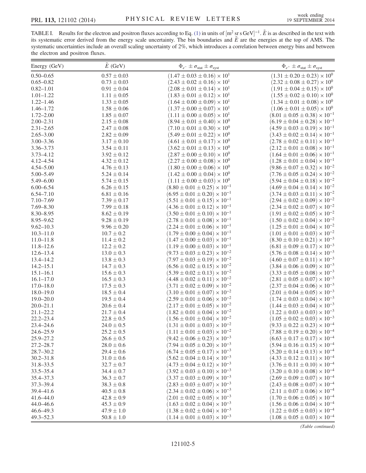<span id="page-6-0"></span>TABLE I. Results for the electron and positron fluxes according to Eq. [\(1\)](#page-4-0) in units of  $[m^2 \text{ sr } \text{GeV}]^{-1}$ .  $\tilde{E}$  is as described in the text with its systematic error derived from the energy scale uncertainty. The bin boundaries and  $\tilde{E}$  are the energies at the top of AMS. The systematic uncertainties include an overall scaling uncertainty of 2%, which introduces a correlation between energy bins and between the electron and positron fluxes.

| Energy (GeV)                   | $\tilde{E}$ (GeV)                | $\Phi_{e^-} \pm \sigma_{\text{stat}} \pm \sigma_{\text{syst}}$                         | $\Phi_{e^+}\pm\sigma_{\rm stat}\pm\sigma_{\rm syst}$                                   |
|--------------------------------|----------------------------------|----------------------------------------------------------------------------------------|----------------------------------------------------------------------------------------|
| $0.50 - 0.65$                  | $0.57 \pm 0.03$                  | $(1.47 \pm 0.03 \pm 0.16) \times 10^{1}$                                               | $(1.31\pm0.20\pm0.23)\times10^{0}$                                                     |
| $0.65 - 0.82$                  | $0.73 \pm 0.03$                  | $(2.43 \pm 0.02 \pm 0.16) \times 10^{1}$                                               | $(2.32 \pm 0.08 \pm 0.27) \times 10^{0}$                                               |
| $0.82 - 1.01$                  | $0.91 \pm 0.04$                  | $(2.08 \pm 0.01 \pm 0.14) \times 10^{1}$                                               | $(1.91 \pm 0.04 \pm 0.15) \times 10^{0}$                                               |
| $1.01 - 1.22$                  | $1.11 \pm 0.05$                  | $(1.83 \pm 0.01 \pm 0.12) \times 10^{1}$                                               | $(1.55 \pm 0.02 \pm 0.10) \times 10^{0}$                                               |
| $1.22 - 1.46$                  | $1.33 \pm 0.05$                  | $(1.64 \pm 0.00 \pm 0.09) \times 10^{1}$                                               | $(1.34 \pm 0.01 \pm 0.08) \times 10^{0}$                                               |
| $1.46 - 1.72$                  | $1.58\pm0.06$                    | $(1.37 \pm 0.00 \pm 0.07) \times 10^{1}$                                               | $(1.06 \pm 0.01 \pm 0.05) \times 10^0$                                                 |
| $1.72 - 2.00$                  | $1.85 \pm 0.07$                  | $(1.11 \pm 0.00 \pm 0.05) \times 10^{1}$                                               | $(8.01 \pm 0.05 \pm 0.38) \times 10^{-1}$                                              |
| $2.00 - 2.31$                  | $2.15 \pm 0.08$                  | $(8.94 \pm 0.01 \pm 0.40) \times 10^{0}$                                               | $(6.19 \pm 0.04 \pm 0.28) \times 10^{-1}$                                              |
| $2.31 - 2.65$                  | $2.47\pm0.08$                    | $(7.10 \pm 0.01 \pm 0.30) \times 10^{0}$                                               | $(4.59 \pm 0.03 \pm 0.19) \times 10^{-1}$                                              |
| $2.65 - 3.00$                  | $2.82 \pm 0.09$                  | $(5.49 \pm 0.01 \pm 0.22) \times 10^{0}$                                               | $(3.43 \pm 0.02 \pm 0.14) \times 10^{-1}$                                              |
| $3.00 - 3.36$                  | $3.17 \pm 0.10$                  | $(4.61 \pm 0.01 \pm 0.17) \times 10^{0}$                                               | $(2.78 \pm 0.02 \pm 0.11) \times 10^{-1}$                                              |
| $3.36 - 3.73$                  | $3.54 \pm 0.11$                  | $(3.62 \pm 0.01 \pm 0.13) \times 10^{0}$                                               | $(2.12 \pm 0.01 \pm 0.08) \times 10^{-1}$                                              |
| $3.73 - 4.12$                  | $3.92 \pm 0.12$                  | $(2.87 \pm 0.00 \pm 0.10) \times 10^{0}$                                               | $(1.64 \pm 0.01 \pm 0.06) \times 10^{-1}$                                              |
| 4.12-4.54                      | $4.32 \pm 0.12$                  | $(2.27 \pm 0.00 \pm 0.08) \times 10^{0}$                                               | $(1.28 \pm 0.01 \pm 0.04) \times 10^{-1}$                                              |
| $4.54 - 5.00$                  | $4.76 \pm 0.13$                  | $(1.80 \pm 0.00 \pm 0.06) \times 10^{0}$                                               | $(9.86 \pm 0.07 \pm 0.32) \times 10^{-2}$                                              |
| $5.00 - 5.49$                  | $5.24 \pm 0.14$                  | $(1.42 \pm 0.00 \pm 0.04) \times 10^{0}$                                               | $(7.76 \pm 0.05 \pm 0.24) \times 10^{-2}$                                              |
| $5.49 - 6.00$                  | $5.74 \pm 0.15$                  | $(1.11 \pm 0.00 \pm 0.03) \times 10^{0}$                                               | $(5.94 \pm 0.04 \pm 0.18) \times 10^{-2}$                                              |
| $6.00 - 6.54$                  | $6.26 \pm 0.15$                  | $(8.80 \pm 0.01 \pm 0.25) \times 10^{-1}$                                              | $(4.69 \pm 0.04 \pm 0.14) \times 10^{-2}$                                              |
| $6.54 - 7.10$                  | $6.81 \pm 0.16$                  | $(6.95 \pm 0.01 \pm 0.20) \times 10^{-1}$                                              | $(3.74 \pm 0.03 \pm 0.11) \times 10^{-2}$                                              |
| $7.10 - 7.69$                  | $7.39 \pm 0.17$                  | $(5.51 \pm 0.01 \pm 0.15) \times 10^{-1}$                                              | $(2.94 \pm 0.02 \pm 0.09) \times 10^{-2}$                                              |
| $7.69 - 8.30$                  | $7.99 \pm 0.18$                  | $(4.36 \pm 0.01 \pm 0.12) \times 10^{-1}$                                              | $(2.34 \pm 0.02 \pm 0.07) \times 10^{-2}$                                              |
| $8.30 - 8.95$                  | $8.62 \pm 0.19$                  | $(3.50 \pm 0.01 \pm 0.10) \times 10^{-1}$                                              | $(1.91 \pm 0.02 \pm 0.05) \times 10^{-2}$                                              |
| $8.95 - 9.62$                  | $9.28 \pm 0.19$                  | $(2.78 \pm 0.01 \pm 0.08) \times 10^{-1}$                                              | $(1.50 \pm 0.02 \pm 0.04) \times 10^{-2}$                                              |
| $9.62 - 10.3$                  | $9.96 \pm 0.20$                  | $(2.24 \pm 0.01 \pm 0.06) \times 10^{-1}$                                              | $(1.25 \pm 0.01 \pm 0.04) \times 10^{-2}$                                              |
| $10.3 - 11.0$                  | $10.7 \pm 0.2$                   | $(1.79 \pm 0.00 \pm 0.04) \times 10^{-1}$                                              | $(1.01 \pm 0.01 \pm 0.03) \times 10^{-2}$                                              |
| $11.0 - 11.8$                  | $11.4 \pm 0.2$                   | $(1.47 \pm 0.00 \pm 0.03) \times 10^{-1}$                                              | $(8.30 \pm 0.10 \pm 0.21) \times 10^{-3}$                                              |
| $11.8 - 12.6$                  | $12.2 \pm 0.2$                   | $(1.19 \pm 0.00 \pm 0.03) \times 10^{-1}$                                              | $(6.81 \pm 0.09 \pm 0.17) \times 10^{-3}$                                              |
| $12.6 - 13.4$                  | $13.0 \pm 0.3$                   | $(9.73 \pm 0.03 \pm 0.23) \times 10^{-2}$                                              | $(5.76 \pm 0.08 \pm 0.14) \times 10^{-3}$                                              |
| $13.4 - 14.2$                  | $13.8 \pm 0.3$                   | $(7.97 \pm 0.03 \pm 0.19) \times 10^{-2}$                                              | $(4.60 \pm 0.07 \pm 0.11) \times 10^{-3}$                                              |
| $14.2 - 15.1$                  | $14.7 \pm 0.3$                   | $(6.56 \pm 0.02 \pm 0.15) \times 10^{-2}$                                              | $(3.84 \pm 0.06 \pm 0.09) \times 10^{-3}$                                              |
| $15.1 - 16.1$                  | $15.6 \pm 0.3$                   | $(5.39 \pm 0.02 \pm 0.13) \times 10^{-2}$                                              | $(3.33 \pm 0.05 \pm 0.08) \times 10^{-3}$                                              |
| $16.1 - 17.0$                  | $16.5 \pm 0.3$                   | $(4.48 \pm 0.02 \pm 0.11) \times 10^{-2}$                                              | $(2.81 \pm 0.05 \pm 0.07) \times 10^{-3}$                                              |
| $17.0 - 18.0$                  | $17.5 \pm 0.3$                   | $(3.71 \pm 0.02 \pm 0.09) \times 10^{-2}$                                              | $(2.37 \pm 0.04 \pm 0.06) \times 10^{-3}$                                              |
| $18.0 - 19.0$                  | $18.5 \pm 0.4$                   | $(3.10 \pm 0.01 \pm 0.07) \times 10^{-2}$                                              | $(2.01 \pm 0.04 \pm 0.05) \times 10^{-3}$                                              |
| $19.0 - 20.0$                  | $19.5 \pm 0.4$                   | $(2.59 \pm 0.01 \pm 0.06) \times 10^{-2}$                                              | $(1.74 \pm 0.03 \pm 0.04) \times 10^{-3}$                                              |
| $20.0 - 21.1$                  | $20.6 \pm 0.4$                   | $(2.17 \pm 0.01 \pm 0.05) \times 10^{-2}$                                              | $(1.44 \pm 0.03 \pm 0.04) \times 10^{-3}$                                              |
| $21.1 - 22.2$<br>$22.2 - 23.4$ | $21.7 \pm 0.4$                   | $(1.82 \pm 0.01 \pm 0.04) \times 10^{-2}$<br>$(1.56 \pm 0.01 \pm 0.04) \times 10^{-2}$ | $(1.22 \pm 0.03 \pm 0.03) \times 10^{-3}$<br>$(1.05 \pm 0.02 \pm 0.03) \times 10^{-3}$ |
| $23.4 - 24.6$                  | $22.8 \pm 0.5$<br>$24.0 \pm 0.5$ | $(1.31 \pm 0.01 \pm 0.03) \times 10^{-2}$                                              | $(9.33 \pm 0.22 \pm 0.23) \times 10^{-4}$                                              |
| $24.6 - 25.9$                  | $25.2 \pm 0.5$                   | $(1.11 \pm 0.01 \pm 0.03) \times 10^{-2}$                                              | $(7.88 \pm 0.19 \pm 0.20) \times 10^{-4}$                                              |
| $25.9 - 27.2$                  | $26.6 \pm 0.5$                   | $(9.42 \pm 0.06 \pm 0.23) \times 10^{-3}$                                              | $(6.63 \pm 0.17 \pm 0.17) \times 10^{-4}$                                              |
| $27.2 - 28.7$                  | $28.0 \pm 0.6$                   | $(7.94 \pm 0.05 \pm 0.20) \times 10^{-3}$                                              | $(5.94 \pm 0.16 \pm 0.15) \times 10^{-4}$                                              |
| $28.7 - 30.2$                  | $29.4 \pm 0.6$                   | $(6.74 \pm 0.05 \pm 0.17) \times 10^{-3}$                                              | $(5.20 \pm 0.14 \pm 0.13) \times 10^{-4}$                                              |
| $30.2 - 31.8$                  | $31.0 \pm 0.6$                   | $(5.62 \pm 0.04 \pm 0.14) \times 10^{-3}$                                              | $(4.33 \pm 0.12 \pm 0.11) \times 10^{-4}$                                              |
| $31.8 - 33.5$                  | $32.7 \pm 0.7$                   | $(4.73 \pm 0.04 \pm 0.12) \times 10^{-3}$                                              | $(3.76 \pm 0.11 \pm 0.10) \times 10^{-4}$                                              |
| $33.5 - 35.4$                  | $34.4 \pm 0.7$                   | $(3.92 \pm 0.03 \pm 0.10) \times 10^{-3}$                                              | $(3.20 \pm 0.10 \pm 0.08) \times 10^{-4}$                                              |
| 35.4–37.3                      | $36.3 \pm 0.7$                   | $(3.37 \pm 0.03 \pm 0.09) \times 10^{-3}$                                              | $(2.69 \pm 0.09 \pm 0.07) \times 10^{-4}$                                              |
| $37.3 - 39.4$                  | $38.3 \pm 0.8$                   | $(2.83 \pm 0.03 \pm 0.07) \times 10^{-3}$                                              | $(2.43 \pm 0.08 \pm 0.07) \times 10^{-4}$                                              |
| 39.4 - 41.6                    | $40.5 \pm 0.8$                   | $(2.34 \pm 0.02 \pm 0.06) \times 10^{-3}$                                              | $(2.11 \pm 0.07 \pm 0.06) \times 10^{-4}$                                              |
| $41.6 - 44.0$                  | $42.8 \pm 0.9$                   | $(2.01 \pm 0.02 \pm 0.05) \times 10^{-3}$                                              | $(1.70 \pm 0.06 \pm 0.05) \times 10^{-4}$                                              |
| $44.0 - 46.6$                  | $45.3 \pm 0.9$                   | $(1.63 \pm 0.02 \pm 0.04) \times 10^{-3}$                                              | $(1.56 \pm 0.06 \pm 0.04) \times 10^{-4}$                                              |
| 46.6–49.3                      | $47.9 \pm 1.0$                   | $(1.38 \pm 0.02 \pm 0.04) \times 10^{-3}$                                              | $(1.22 \pm 0.05 \pm 0.03) \times 10^{-4}$                                              |
| $49.3 - 52.3$                  | $50.8 \pm 1.0$                   | $(1.14 \pm 0.01 \pm 0.03) \times 10^{-3}$                                              | $(1.08 \pm 0.05 \pm 0.03) \times 10^{-4}$                                              |

(Table continued)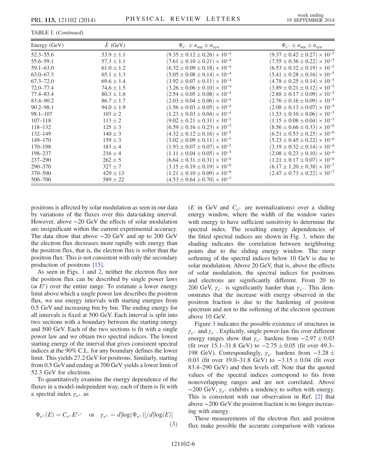TABLE I. (Continued)

| Energy (GeV)  | $E$ (GeV)      | $\Phi_{e^-} \pm \sigma_{\text{stat}} \pm \sigma_{\text{syst}}$ | $\Phi_{e^+} \pm \sigma_{\text{stat}} \pm \sigma_{\text{syst}}$ |
|---------------|----------------|----------------------------------------------------------------|----------------------------------------------------------------|
| $52.3 - 55.6$ | $53.9 \pm 1.1$ | $(9.35 \pm 0.12 \pm 0.26) \times 10^{-4}$                      | $(9.37 \pm 0.42 \pm 0.27) \times 10^{-5}$                      |
| 55.6–59.1     | $57.3 \pm 1.1$ | $(7.61 \pm 0.10 \pm 0.21) \times 10^{-4}$                      | $(7.55 \pm 0.36 \pm 0.22) \times 10^{-5}$                      |
| $59.1 - 63.0$ | $61.0 \pm 1.2$ | $(6.32 \pm 0.09 \pm 0.18) \times 10^{-4}$                      | $(6.53 \pm 0.32 \pm 0.19) \times 10^{-5}$                      |
| $63.0 - 67.3$ | $65.1 \pm 1.3$ | $(5.05 \pm 0.08 \pm 0.14) \times 10^{-4}$                      | $(5.41 \pm 0.28 \pm 0.16) \times 10^{-5}$                      |
| $67.3 - 72.0$ | $69.6 \pm 1.4$ | $(3.92 \pm 0.07 \pm 0.11) \times 10^{-4}$                      | $(4.78 \pm 0.25 \pm 0.14) \times 10^{-5}$                      |
| $72.0 - 77.4$ | $74.6 \pm 1.5$ | $(3.26 \pm 0.06 \pm 0.10) \times 10^{-4}$                      | $(3.89 \pm 0.21 \pm 0.12) \times 10^{-5}$                      |
| 77.4–83.4     | $80.3 \pm 1.6$ | $(2.54 \pm 0.05 \pm 0.08) \times 10^{-4}$                      | $(2.88 \pm 0.17 \pm 0.09) \times 10^{-5}$                      |
| 83.4-90.2     | $86.7 \pm 1.7$ | $(2.03 \pm 0.04 \pm 0.06) \times 10^{-4}$                      | $(2.76 \pm 0.16 \pm 0.09) \times 10^{-5}$                      |
| $90.2 - 98.1$ | $94.0 \pm 1.9$ | $(1.56 \pm 0.03 \pm 0.05) \times 10^{-4}$                      | $(2.08 \pm 0.13 \pm 0.07) \times 10^{-5}$                      |
| $98.1 - 107$  | $103 \pm 2$    | $(1.23 \pm 0.03 \pm 0.04) \times 10^{-4}$                      | $(1.53 \pm 0.10 \pm 0.06) \times 10^{-5}$                      |
| $107 - 118$   | $113 \pm 2$    | $(9.02 \pm 0.21 \pm 0.31) \times 10^{-5}$                      | $(1.15 \pm 0.08 \pm 0.04) \times 10^{-5}$                      |
| $118 - 132$   | $125 \pm 3$    | $(6.59 \pm 0.16 \pm 0.23) \times 10^{-5}$                      | $(8.56 \pm 0.66 \pm 0.33) \times 10^{-6}$                      |
| $132 - 149$   | $140 \pm 3$    | $(4.32 \pm 0.12 \pm 0.16) \times 10^{-5}$                      | $(6.21 \pm 0.53 \pm 0.25) \times 10^{-6}$                      |
| $149 - 170$   | $159 \pm 3$    | $(3.02 \pm 0.09 \pm 0.11) \times 10^{-5}$                      | $(5.23 \pm 0.45 \pm 0.22) \times 10^{-6}$                      |
| $170 - 198$   | $183 \pm 4$    | $(1.93 \pm 0.07 \pm 0.07) \times 10^{-5}$                      | $(3.19 \pm 0.32 \pm 0.14) \times 10^{-6}$                      |
| 198-237       | $216 \pm 4$    | $(1.11 \pm 0.04 \pm 0.05) \times 10^{-5}$                      | $(2.08 \pm 0.23 \pm 0.10) \times 10^{-6}$                      |
| $237 - 290$   | $262 \pm 5$    | $(6.64 \pm 0.31 \pm 0.31) \times 10^{-6}$                      | $(1.21 \pm 0.17 \pm 0.07) \times 10^{-6}$                      |
| 290-370       | $327 \pm 7$    | $(3.15 \pm 0.19 \pm 0.19) \times 10^{-6}$                      | $(6.17 \pm 1.20 \pm 0.38) \times 10^{-7}$                      |
| 370-500       | $429 \pm 13$   | $(1.21 \pm 0.10 \pm 0.09) \times 10^{-6}$                      | $(2.47 \pm 0.73 \pm 0.22) \times 10^{-7}$                      |
| 500-700       | $589 \pm 22$   | $(4.53 \pm 0.64 \pm 0.70) \times 10^{-7}$                      |                                                                |

positrons is affected by solar modulation as seen in our data by variations of the fluxes over this data-taking interval. However, above ∼20 GeV the effects of solar modulation are insignificant within the current experimental accuracy. The data show that above ∼20 GeV and up to 200 GeV the electron flux decreases more rapidly with energy than the positron flux, that is, the electron flux is softer than the positron flux. This is not consistent with only the secondary production of positrons [\[15\]](#page-10-0).

As seen in Figs. [1](#page-8-0) and [2,](#page-8-1) neither the electron flux nor the positron flux can be described by single power laws  $(\propto E^{\gamma})$  over the entire range. To estimate a lower energy limit above which a single power law describes the positron flux, we use energy intervals with starting energies from 0.5 GeV and increasing bin by bin. The ending energy for all intervals is fixed at 500 GeV. Each interval is split into two sections with a boundary between the starting energy and 500 GeV. Each of the two sections is fit with a single power law and we obtain two spectral indices. The lowest starting energy of the interval that gives consistent spectral indices at the 90% C.L. for any boundary defines the lower limit. This yields 27.2 GeV for positrons. Similarly, starting from 0.5 GeVand ending at 700 GeV yields a lower limit of 52.3 GeV for electrons.

To quantitatively examine the energy dependence of the fluxes in a model-independent way, each of them is fit with a spectral index  $\gamma_{e^{\pm}}$  as

$$
\Phi_{e^{\pm}}(E) = C_{e^{\pm}} E^{\gamma_{e^{\pm}}} \quad \text{or} \quad \gamma_{e^{\pm}} = d[\log(\Phi_{e^{\pm}})]/d[\log(E)] \tag{3}
$$

(*E* in GeV and  $C_{e^{\pm}}$  are normalizations) over a sliding energy window, where the width of the window varies with energy to have sufficient sensitivity to determine the spectral index. The resulting energy dependencies of the fitted spectral indices are shown in Fig. [3,](#page-8-2) where the shading indicates the correlation between neighboring points due to the sliding energy window. The steep softening of the spectral indices below 10 GeV is due to solar modulation. Above 20 GeV, that is, above the effects of solar modulation, the spectral indices for positrons and electrons are significantly different. From 20 to 200 GeV,  $\gamma_{e^+}$  is significantly harder than  $\gamma_{e^-}$ . This demonstrates that the increase with energy observed in the positron fraction is due to the hardening of positron spectrum and not to the softening of the electron spectrum above 10 GeV.

Figure [3](#page-8-2) indicates the possible existence of structures in  $\gamma_{e^+}$  and  $\gamma_{e^-}$ . Explicitly, single power-law fits over different energy ranges show that  $\gamma_{e^+}$  hardens from  $-2.97 \pm 0.03$ (fit over 15.1–31.8 GeV) to  $-2.75 \pm 0.05$  (fit over 49.3– 198 GeV). Correspondingly,  $\gamma_{e^-}$  hardens from  $-3.28 \pm 0.003$ 0.03 (fit over 19.0–31.8 GeV) to  $-3.15 \pm 0.04$  (fit over 83.4–290 GeV) and then levels off. Note that the quoted values of the spectral indices correspond to fits from nonoverlapping ranges and are not correlated. Above ~200 GeV,  $\gamma_{e^+}$  exhibits a tendency to soften with energy. This is consistent with our observation in Ref. [\[2\]](#page-9-13) that above ∼200 GeV the positron fraction is no longer increasing with energy.

These measurements of the electron flux and positron flux make possible the accurate comparison with various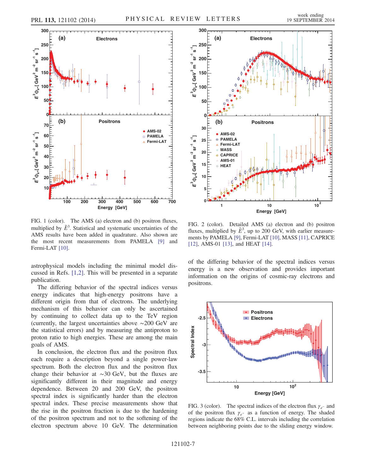<span id="page-8-0"></span>

FIG. 1 (color). The AMS (a) electron and (b) positron fluxes, multiplied by  $\tilde{E}^3$ . Statistical and systematic uncertainties of the AMS results have been added in quadrature. Also shown are the most recent measurements from PAMELA [\[9\]](#page-9-19) and Fermi-LAT [\[10\].](#page-9-20)

astrophysical models including the minimal model discussed in Refs. [\[1,2\].](#page-9-12) This will be presented in a separate publication.

The differing behavior of the spectral indices versus energy indicates that high-energy positrons have a different origin from that of electrons. The underlying mechanism of this behavior can only be ascertained by continuing to collect data up to the TeV region (currently, the largest uncertainties above ∼200 GeV are the statistical errors) and by measuring the antiproton to proton ratio to high energies. These are among the main goals of AMS.

In conclusion, the electron flux and the positron flux each require a description beyond a single power-law spectrum. Both the electron flux and the positron flux change their behavior at ∼30 GeV, but the fluxes are significantly different in their magnitude and energy dependence. Between 20 and 200 GeV, the positron spectral index is significantly harder than the electron spectral index. These precise measurements show that the rise in the positron fraction is due to the hardening of the positron spectrum and not to the softening of the electron spectrum above 10 GeV. The determination

<span id="page-8-1"></span>

FIG. 2 (color). Detailed AMS (a) electron and (b) positron fluxes, multiplied by  $\tilde{E}^3$ , up to 200 GeV, with earlier measurements by PAMELA [\[9\]](#page-9-19), Fermi-LAT [\[10\]](#page-9-20), MASS [\[11\],](#page-9-21) CAPRICE [\[12\],](#page-10-1) AMS-01 [\[13\]](#page-10-2), and HEAT [\[14\]](#page-10-3).

of the differing behavior of the spectral indices versus energy is a new observation and provides important information on the origins of cosmic-ray electrons and positrons.

<span id="page-8-2"></span>

FIG. 3 (color). The spectral indices of the electron flux  $\gamma_{e^-}$  and of the positron flux  $\gamma_{e^+}$  as a function of energy. The shaded regions indicate the 68% C.L. intervals including the correlation between neighboring points due to the sliding energy window.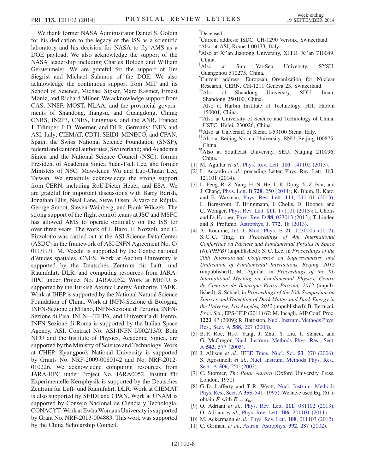We thank former NASA Administrator Daniel S. Goldin for his dedication to the legacy of the ISS as a scientific laboratory and his decision for NASA to fly AMS as a DOE payload. We also acknowledge the support of the NASA leadership including Charles Bolden and William Gerstenmeier. We are grateful for the support of Jim Siegrist and Michael Salamon of the DOE. We also acknowledge the continuous support from MIT and its School of Science, Michael Sipser, Marc Kastner, Ernest Moniz, and Richard Milner. We acknowledge support from CAS, NNSF, MOST, NLAA, and the provincial governments of Shandong, Jiangsu, and Guangdong, China; CNRS, IN2P3, CNES, Enigmass, and the ANR, France; J. Trümper, J. D. Woerner, and DLR, Germany; INFN and ASI, Italy; CIEMAT, CDTI, SEIDI–MINECO, and CPAN, Spain; the Swiss National Science Foundation (SNSF), federal and cantonal authorities, Switzerland; and Academia Sinica and the National Science Council (NSC), former President of Academia Sinica Yuan-Tseh Lee, and former Ministers of NSC, Maw-Kuen Wu and Luo-Chuan Lee, Taiwan. We gratefully acknowledge the strong support from CERN, including Rolf-Dieter Heuer, and ESA. We are grateful for important discussions with Barry Barish, Jonathan Ellis, Neal Lane, Steve Olsen, Álvaro de Rújula, George Smoot, Steven Weinberg, and Frank Wilczek. The strong support of the flight control teams at JSC and MSFC has allowed AMS to operate optimally on the ISS for over three years. The work of J. Bazo, F. Nozzoli, and C. Pizzolotto was carried out at the ASI Science Data Center (ASDC) in the framework of ASI-INFN Agreement No. C/ 011/11/1. M. Vecchi is supported by the Centre national d'études spatiales, CNES. Work at Aachen University is supported by the Deutsches Zentrum für Luft- und Raumfahrt, DLR, and computing resources from JARA-HPC under Project No. JARA0052. Work at METU is supported by the Turkish Atomic Energy Authority, TAEK. Work at IHEP is supported by the National Natural Science Foundation of China. Work at INFN-Sezione di Bologna, INFN-Sezione di Milano, INFN-Sezione di Perugia, INFN-Sezione di Pisa, INFN—TIFPA, and Universit'a di Trento, INFN-Sezione di Roma is supported by the Italian Space Agency, ASI, Contract No. ASI-INFN I/002/13/0. Both NCU and the Institute of Physics, Academia Sinica, are supported by the Ministry of Science and Technology. Work at CHEP, Kyungpook National University is supported by Grants No. NRF-2009-0080142 and No. NRF-2012- 010226. We acknowledge computing resources from JARA-HPC under Project No. JARA0052. Institut für Experimentelle Kernphysik is supported by the Deutsches Zentrum für Luft- und Raumfahrt, DLR. Work at CIEMAT is also supported by SEIDI and CPAN. Work at UNAM is supported by Consejo Nacional de Ciencia y Tecnología, CONACYT. Work at Ewha Womans University is supported by Grant No. NRF-2013-004883. This work was supported by the China Scholarship Council.

<span id="page-9-2"></span>[\\*](#page-2-0) Deceased.

- <span id="page-9-0"></span>[†](#page-2-1) Current address: ISDC, CH-1290 Versoix, Switzerland.
- <span id="page-9-1"></span>[‡](#page-2-2) Also at ASI, Rome I-00133, Italy.
- <span id="page-9-3"></span>[§](#page-2-3) Also at Xi'an Jiaotong University, XJTU, Xi'an 710049, China.
- <span id="page-9-4"></span>[∥](#page-2-4) at Sun Yat-Sen University, SYSU, Guangzhou 510275, China.
- <span id="page-9-5"></span><sup>1</sup>Current address: European Organization for Nuclear Research, CERN, CH-1211 Geneva 23, Switzerland.
- <span id="page-9-6"></span>Also at Shandong University, SDU, Jinan, Shandong 250100, China.
- <span id="page-9-7"></span>[††](#page-2-6)Also at Harbin Institute of Technology, HIT, Harbin 150001, China.
- <span id="page-9-8"></span>[‡‡](#page-2-7)Also at University of Science and Technology of China, USTC, Hefei, 230026, China.
- <span id="page-9-9"></span>[§§](#page-2-8)Also at Università di Siena, I-53100 Siena, Italy.
- <span id="page-9-10"></span>[∥∥](#page-2-9)Also at Beijing Normal University, BNU, Beijing 100875, China.
- <span id="page-9-11"></span>[¶¶A](#page-2-9)lso at Southeast University, SEU, Nanjing 210096, China.
- <span id="page-9-12"></span>[1] M. Aguilar et al., Phys. Rev. Lett. **110**[, 141102 \(2013\)](http://dx.doi.org/10.1103/PhysRevLett.110.141102).
- <span id="page-9-13"></span>[2] L. Accardo *et al.*, preceding Letter, Phys. Rev. Lett. 113, 121101 (2014).
- <span id="page-9-14"></span>[3] L. Feng, R.-Z. Yang, H.-N. He, T.-K. Dong, Y.-Z. Fan, and J. Chang, [Phys. Lett. B](http://dx.doi.org/10.1016/j.physletb.2013.12.012) 728, 250 (2014); K. Blum, B. Katz, and E. Waxman, Phys. Rev. Lett. 111[, 211101 \(2013\)](http://dx.doi.org/10.1103/PhysRevLett.111.211101); L. Bergström, T. Bringmann, I. Cholis, D. Hooper, and C. Weniger, Phys. Rev. Lett. 111[, 171101 \(2013\);](http://dx.doi.org/10.1103/PhysRevLett.111.171101) I. Cholis and D. Hooper, Phys. Rev. D 88[, 023013 \(2013\)](http://dx.doi.org/10.1103/PhysRevD.88.023013); T. Linden and S. Profumo, [Astrophys. J.](http://dx.doi.org/10.1088/0004-637X/772/1/18) 772, 18 (2013).
- [4] A. Kounine, [Int. J. Mod. Phys. E](http://dx.doi.org/10.1142/S0218301312300056) 21, 1230005 (2012); S. C. C. Ting, in Proceedings of 4th International Conference on Particle and Fundamental Physics in Space (NUPHPB) (unpublished); S. C. Lee, in Proceedings of the 20th International Conference on Supersymmetry and Unification of Fundamental Interactions, Beijing, 2012 (unpublished); M. Aguilar, in Proceedings of the XL International Meeting on Fundamental Physics, Centro de Ciencias de Benasque Pedro Pascual, 2012 (unpublished); S. Schael, in Proceedings of the 10th Symposium on Sources and Detection of Dark Matter and Dark Energy in the Universe, Los Angeles, 2012 (unpublished); B. Bertucci, Proc. Sci., EPS-HEP (2011) 67; M. Incagli, AIP Conf. Proc. 1223, 43 (2009); R. Battiston, [Nucl. Instrum. Methods Phys.](http://dx.doi.org/10.1016/j.nima.2008.01.044) [Res., Sect. A](http://dx.doi.org/10.1016/j.nima.2008.01.044) 588, 227 (2008).
- <span id="page-9-15"></span>[5] B. P. Roe, H.-J. Yang, J. Zhu, Y. Liu, I. Stancu, and G. McGregor, [Nucl. Instrum. Methods Phys. Res., Sect.](http://dx.doi.org/10.1016/j.nima.2004.12.018) A 543[, 577 \(2005\).](http://dx.doi.org/10.1016/j.nima.2004.12.018)
- <span id="page-9-16"></span>[6] J. Allison et al., [IEEE Trans. Nucl. Sci.](http://dx.doi.org/10.1109/TNS.2006.869826) 53, 270 (2006); S. Agostinelli et al., [Nucl. Instrum. Methods Phys. Res.,](http://dx.doi.org/10.1016/S0168-9002(03)01368-8) Sect. A **506**[, 250 \(2003\)](http://dx.doi.org/10.1016/S0168-9002(03)01368-8).
- <span id="page-9-18"></span><span id="page-9-17"></span>[7] C. Størmer, The Polar Aurora (Oxford University Press, London, 1950).
- [8] G.D. Lafferty and T.R. Wyatt, [Nucl. Instrum. Methods](http://dx.doi.org/10.1016/0168-9002(94)01112-5) [Phys. Res., Sect. A](http://dx.doi.org/10.1016/0168-9002(94)01112-5) 355, 541 (1995). We have used Eq. (6) to obtain E with  $E = x_{lw}$ .
- <span id="page-9-20"></span><span id="page-9-19"></span>[9] O. Adriani et al., Phys. Rev. Lett. 111[, 081102 \(2013\)](http://dx.doi.org/10.1103/PhysRevLett.111.081102); O. Adriani et al., Phys. Rev. Lett. 106[, 201101 \(2011\).](http://dx.doi.org/10.1103/PhysRevLett.106.201101)
- <span id="page-9-21"></span>[10] M. Ackermann *et al.*, Phys. Rev. Lett. **108**[, 011103 \(2012\).](http://dx.doi.org/10.1103/PhysRevLett.108.011103)
- [11] C. Grimani et al., [Astron. Astrophys.](http://dx.doi.org/10.1051/0004-6361:20020845) **392**, 287 (2002).